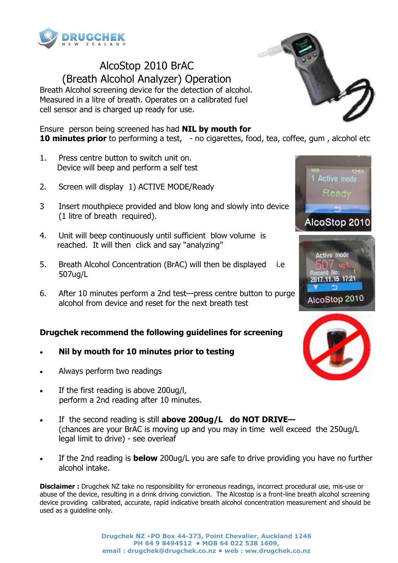

## AlcoStop 2010 BrAC (Breath Alcohol Analyzer) Operation

Breath Alcohol screening device for the detection of alcohol. Measured in a litre of breath. Operates on a calibrated fuel cell sensor and is charged up ready for use.

Ensure person being screened has had **NIL by mouth for 10 minutes prior** to performing a test, - no cigarettes, food, tea, coffee, gum, alcohol etc

- 1. Press centre button to switch unit on. Device will beep and perform a self test
- 2. Screen will display 1) ACTIVE MODE/Ready
- 3 Insert mouthpiece provided and blow long and slowly into device (1 litre of breath required).
- 4. Unit will beep continuously until sufficient blow volume is reached. It will then click and say "analyzing"
- 5. Breath Alcohol Concentration (BrAC) will then be displayed i.e 507ug/L
- 6. After 10 minutes perform a 2nd test—press centre button to purge alcohol from device and reset for the next breath test

### **Drugchek recommend the following guidelines for screening**

- **Nil by mouth for 10 minutes prior to testing**
- Always perform two readings
- If the first reading is above 200ug/l, perform a 2nd reading after 10 minutes.
- If the second reading is still **above 200ug/L do NOT DRIVE—**  (chances are your BrAC is moving up and you may in time well exceed the 250ug/L legal limit to drive) - see overleaf
- If the 2nd reading is **below** 200ug/L you are safe to drive providing you have no further alcohol intake.

**Disclaimer :** Drugchek NZ take no responsibility for erroneous readings, incorrect procedural use, mis-use or abuse of the device, resulting in a drink driving conviction. The Alcostop is a front-line breath alcohol screening device providing calibrated, accurate, rapid indicative breath alcohol concentration measurement and should be used as a guideline only.